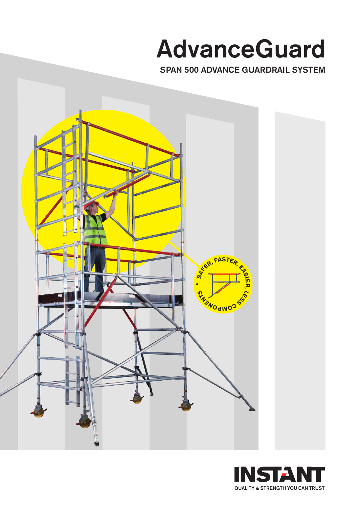## **AdvanceGuard**

**SPAN 500 ADVANCE GUARDRAIL SYSTEM**